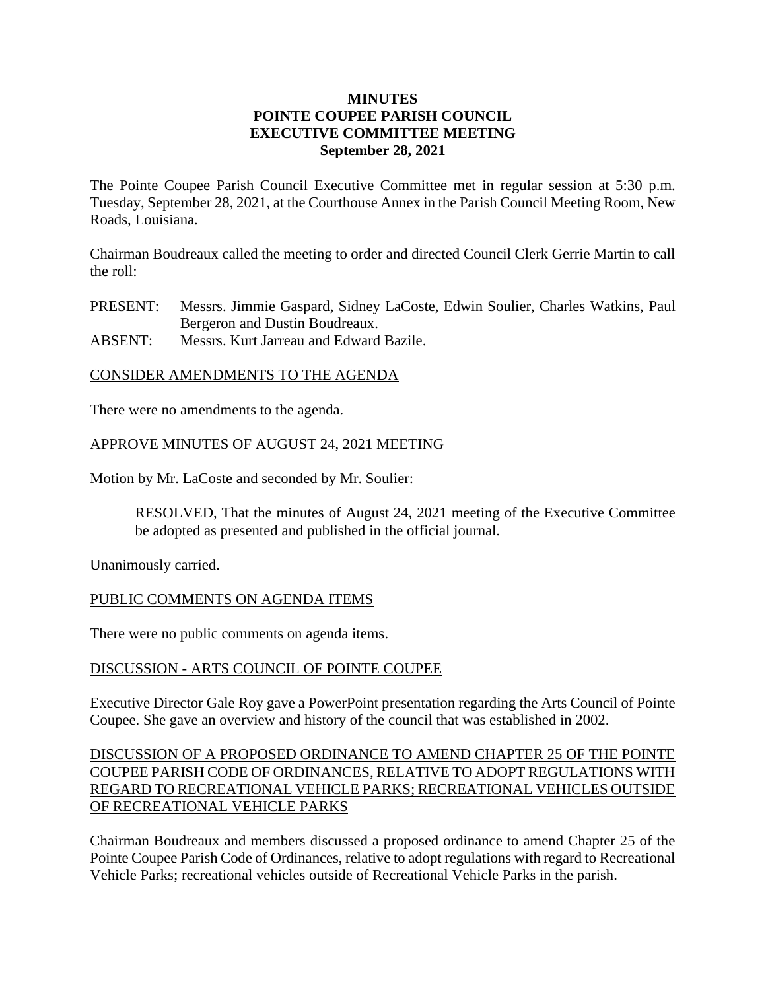## **MINUTES POINTE COUPEE PARISH COUNCIL EXECUTIVE COMMITTEE MEETING September 28, 2021**

The Pointe Coupee Parish Council Executive Committee met in regular session at 5:30 p.m. Tuesday, September 28, 2021, at the Courthouse Annex in the Parish Council Meeting Room, New Roads, Louisiana.

Chairman Boudreaux called the meeting to order and directed Council Clerk Gerrie Martin to call the roll:

PRESENT: Messrs. Jimmie Gaspard, Sidney LaCoste, Edwin Soulier, Charles Watkins, Paul Bergeron and Dustin Boudreaux.

ABSENT: Messrs. Kurt Jarreau and Edward Bazile.

### CONSIDER AMENDMENTS TO THE AGENDA

There were no amendments to the agenda.

## APPROVE MINUTES OF AUGUST 24, 2021 MEETING

Motion by Mr. LaCoste and seconded by Mr. Soulier:

RESOLVED, That the minutes of August 24, 2021 meeting of the Executive Committee be adopted as presented and published in the official journal.

Unanimously carried.

### PUBLIC COMMENTS ON AGENDA ITEMS

There were no public comments on agenda items.

### DISCUSSION - ARTS COUNCIL OF POINTE COUPEE

Executive Director Gale Roy gave a PowerPoint presentation regarding the Arts Council of Pointe Coupee. She gave an overview and history of the council that was established in 2002.

# DISCUSSION OF A PROPOSED ORDINANCE TO AMEND CHAPTER 25 OF THE POINTE COUPEE PARISH CODE OF ORDINANCES, RELATIVE TO ADOPT REGULATIONS WITH REGARD TO RECREATIONAL VEHICLE PARKS; RECREATIONAL VEHICLES OUTSIDE OF RECREATIONAL VEHICLE PARKS

Chairman Boudreaux and members discussed a proposed ordinance to amend Chapter 25 of the Pointe Coupee Parish Code of Ordinances, relative to adopt regulations with regard to Recreational Vehicle Parks; recreational vehicles outside of Recreational Vehicle Parks in the parish.